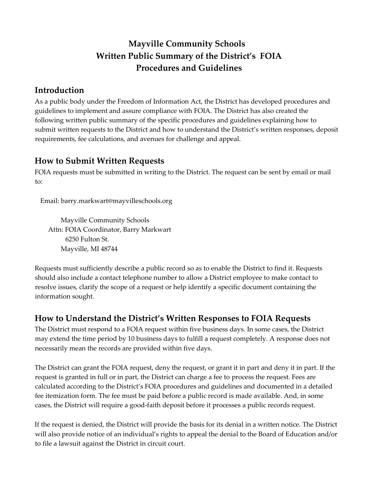# **Mayville Community Schools Written Public Summary of the District's FOIA Procedures and Guidelines**

### **Introduction**

As a public body under the Freedom of Information Act, the District has developed procedures and guidelines to implement and assure compliance with FOIA. The District has also created the following written public summary of the specific procedures and guidelines explaining how to submit written requests to the District and how to understand the District's written responses, deposit requirements, fee calculations, and avenues for challenge and appeal.

#### **How to Submit Written Requests**

FOIA requests must be submitted in writing to the District. The request can be sent by email or mail to:

Email: barry.markwart@mayvilleschools.org

Mayville Community Schools Attn: FOIA Coordinator, Barry Markwart 6250 Fulton St. Mayville, MI 48744

Requests must sufficiently describe a public record so as to enable the District to find it. Requests should also include a contact telephone number to allow a District employee to make contact to resolve issues, clarify the scope of a request or help identify a specific document containing the information sought.

### **How to Understand the District's Written Responses to FOIA Requests**

The District must respond to a FOIA request within five business days. In some cases, the District may extend the time period by 10 business days to fulfill a request completely. A response does not necessarily mean the records are provided within five days.

The District can grant the FOIA request, deny the request, or grant it in part and deny it in part. If the request is granted in full or in part, the District can charge a fee to process the request. Fees are calculated according to the District's FOIA procedures and guidelines and documented in a detailed fee itemization form. The fee must be paid before a public record is made available. And, in some cases, the District will require a good-faith deposit before it processes a public records request.

If the request is denied, the District will provide the basis for its denial in a written notice. The District will also provide notice of an individual's rights to appeal the denial to the Board of Education and/or to file a lawsuit against the District in circuit court.